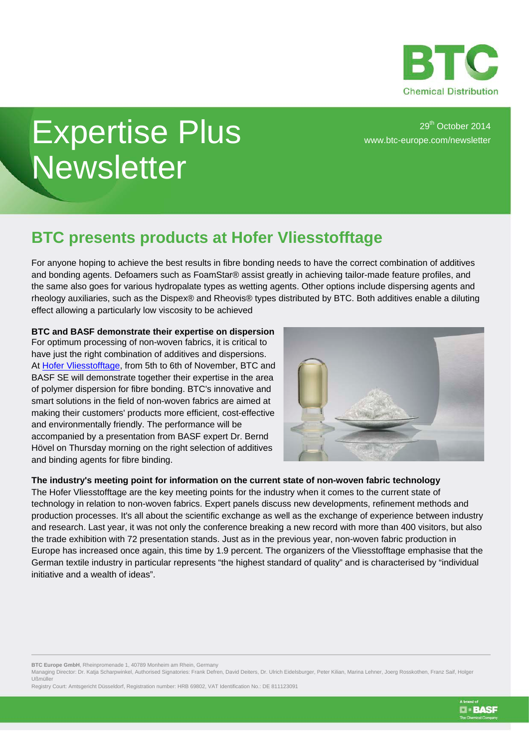

**D** · BASF

## Expertise Plus **Newsletter**

29<sup>th</sup> October 2014 [www.btc-europe.com/newsletter](http://www.btc-europe.com/newsletter)

## **BTC presents products at Hofer Vliesstofftage**

For anyone hoping to achieve the best results in fibre bonding needs to have the correct combination of additives and bonding agents. Defoamers such as FoamStar® assist greatly in achieving tailor-made feature profiles, and the same also goes for various hydropalate types as wetting agents. Other options include dispersing agents and rheology auxiliaries, such as the Dispex® and Rheovis® types distributed by BTC. Both additives enable a diluting effect allowing a particularly low viscosity to be achieved

**BTC and BASF demonstrate their expertise on dispersion** For optimum processing of non-woven fabrics, it is critical to have just the right combination of additives and dispersions. At [Hofer Vliesstofftage,](http://www.btc-europe.com/en/DE/nc/news/article/hofer-vliesstofftage-2014-in-hof-germany-from-november-5th-to-6th/) from 5th to 6th of November, BTC and BASF SE will demonstrate together their expertise in the area of polymer dispersion for fibre bonding. BTC's innovative and smart solutions in the field of non-woven fabrics are aimed at making their customers' products more efficient, cost-effective and environmentally friendly. The performance will be accompanied by a presentation from BASF expert Dr. Bernd Hövel on Thursday morning on the right selection of additives and binding agents for fibre binding.



## **The industry's meeting point for information on the current state of non-woven fabric technology** The Hofer Vliesstofftage are the key meeting points for the industry when it comes to the current state of technology in relation to non-woven fabrics. Expert panels discuss new developments, refinement methods and production processes. It's all about the scientific exchange as well as the exchange of experience between industry and research. Last year, it was not only the conference breaking a new record with more than 400 visitors, but also the trade exhibition with 72 presentation stands. Just as in the previous year, non-woven fabric production in Europe has increased once again, this time by 1.9 percent. The organizers of the Vliesstofftage emphasise that the German textile industry in particular represents "the highest standard of quality" and is characterised by "individual initiative and a wealth of ideas".

**BTC Europe GmbH**, Rheinpromenade 1, 40789 Monheim am Rhein, Germany

Managing Director: Dr. Katja Scharpwinkel, Authorised Signatories: Frank Defren, David Deiters, Dr. Ulrich Eidelsburger, Peter Kilian, Marina Lehner, Joerg Rosskothen, Franz Saif, Holger Ußmüller

Registry Court: Amtsgericht Düsseldorf, Registration number: HRB 69802, VAT Identification No.: DE 811123091